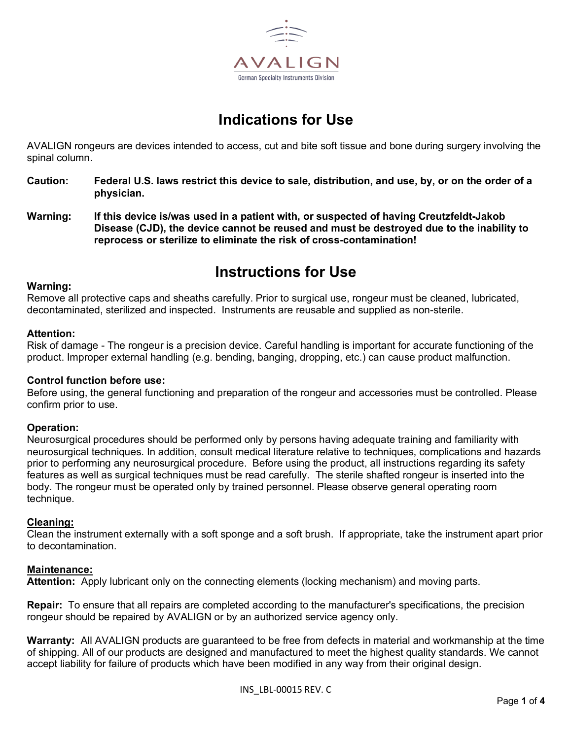

# **Indications for Use**

AVALIGN rongeurs are devices intended to access, cut and bite soft tissue and bone during surgery involving the spinal column.

- **Caution: Federal U.S. laws restrict this device to sale, distribution, and use, by, or on the order of a physician.**
- **Warning: If this device is/was used in a patient with, or suspected of having Creutzfeldt-Jakob Disease (CJD), the device cannot be reused and must be destroyed due to the inability to reprocess or sterilize to eliminate the risk of cross-contamination!**

# **Instructions for Use**

#### **Warning:**

Remove all protective caps and sheaths carefully. Prior to surgical use, rongeur must be cleaned, lubricated, decontaminated, sterilized and inspected. Instruments are reusable and supplied as non-sterile.

### **Attention:**

Risk of damage - The rongeur is a precision device. Careful handling is important for accurate functioning of the product. Improper external handling (e.g. bending, banging, dropping, etc.) can cause product malfunction.

### **Control function before use:**

Before using, the general functioning and preparation of the rongeur and accessories must be controlled. Please confirm prior to use.

### **Operation:**

Neurosurgical procedures should be performed only by persons having adequate training and familiarity with neurosurgical techniques. In addition, consult medical literature relative to techniques, complications and hazards prior to performing any neurosurgical procedure. Before using the product, all instructions regarding its safety features as well as surgical techniques must be read carefully. The sterile shafted rongeur is inserted into the body. The rongeur must be operated only by trained personnel. Please observe general operating room technique.

# **Cleaning:**

Clean the instrument externally with a soft sponge and a soft brush. If appropriate, take the instrument apart prior to decontamination.

### **Maintenance:**

**Attention:** Apply lubricant only on the connecting elements (locking mechanism) and moving parts.

**Repair:** To ensure that all repairs are completed according to the manufacturer's specifications, the precision rongeur should be repaired by AVALIGN or by an authorized service agency only.

**Warranty:** All AVALIGN products are guaranteed to be free from defects in material and workmanship at the time of shipping. All of our products are designed and manufactured to meet the highest quality standards. We cannot accept liability for failure of products which have been modified in any way from their original design.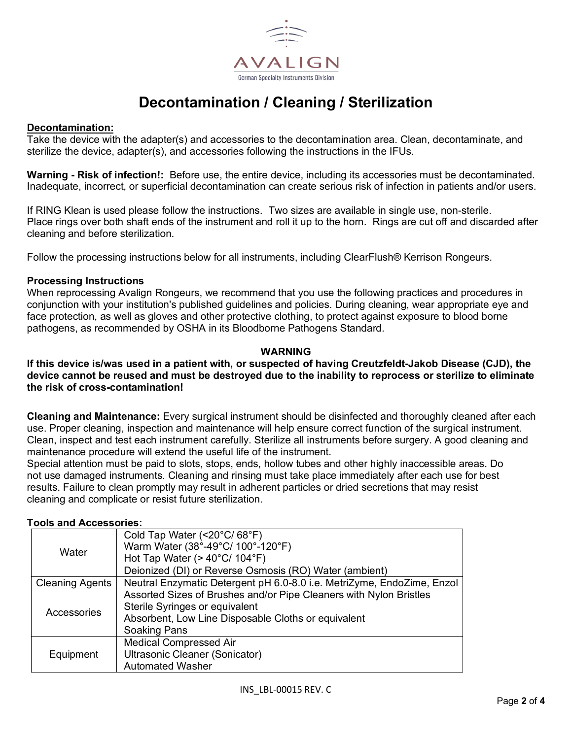

# **Decontamination / Cleaning / Sterilization**

## **Decontamination:**

Take the device with the adapter(s) and accessories to the decontamination area. Clean, decontaminate, and sterilize the device, adapter(s), and accessories following the instructions in the IFUs.

**Warning - Risk of infection!:** Before use, the entire device, including its accessories must be decontaminated. Inadequate, incorrect, or superficial decontamination can create serious risk of infection in patients and/or users.

If RING Klean is used please follow the instructions. Two sizes are available in single use, non-sterile. Place rings over both shaft ends of the instrument and roll it up to the horn. Rings are cut off and discarded after cleaning and before sterilization.

Follow the processing instructions below for all instruments, including ClearFlush® Kerrison Rongeurs.

## **Processing Instructions**

When reprocessing Avalign Rongeurs, we recommend that you use the following practices and procedures in conjunction with your institution's published guidelines and policies. During cleaning, wear appropriate eye and face protection, as well as gloves and other protective clothing, to protect against exposure to blood borne pathogens, as recommended by OSHA in its Bloodborne Pathogens Standard.

## **WARNING**

### **If this device is/was used in a patient with, or suspected of having Creutzfeldt-Jakob Disease (CJD), the device cannot be reused and must be destroyed due to the inability to reprocess or sterilize to eliminate the risk of cross-contamination!**

**Cleaning and Maintenance:** Every surgical instrument should be disinfected and thoroughly cleaned after each use. Proper cleaning, inspection and maintenance will help ensure correct function of the surgical instrument. Clean, inspect and test each instrument carefully. Sterilize all instruments before surgery. A good cleaning and maintenance procedure will extend the useful life of the instrument.

Special attention must be paid to slots, stops, ends, hollow tubes and other highly inaccessible areas. Do not use damaged instruments. Cleaning and rinsing must take place immediately after each use for best results. Failure to clean promptly may result in adherent particles or dried secretions that may resist cleaning and complicate or resist future sterilization.

### **Tools and Accessories:**

| Water                  | Cold Tap Water (<20°C/68°F)                                            |
|------------------------|------------------------------------------------------------------------|
|                        | Warm Water (38°-49°C/ 100°-120°F)                                      |
|                        | Hot Tap Water ( $>$ 40 $^{\circ}$ C/ 104 $^{\circ}$ F)                 |
|                        | Deionized (DI) or Reverse Osmosis (RO) Water (ambient)                 |
| <b>Cleaning Agents</b> | Neutral Enzymatic Detergent pH 6.0-8.0 i.e. MetriZyme, EndoZime, Enzol |
| Accessories            | Assorted Sizes of Brushes and/or Pipe Cleaners with Nylon Bristles     |
|                        | Sterile Syringes or equivalent                                         |
|                        | Absorbent, Low Line Disposable Cloths or equivalent                    |
|                        | Soaking Pans                                                           |
| Equipment              | <b>Medical Compressed Air</b>                                          |
|                        | Ultrasonic Cleaner (Sonicator)                                         |
|                        | <b>Automated Washer</b>                                                |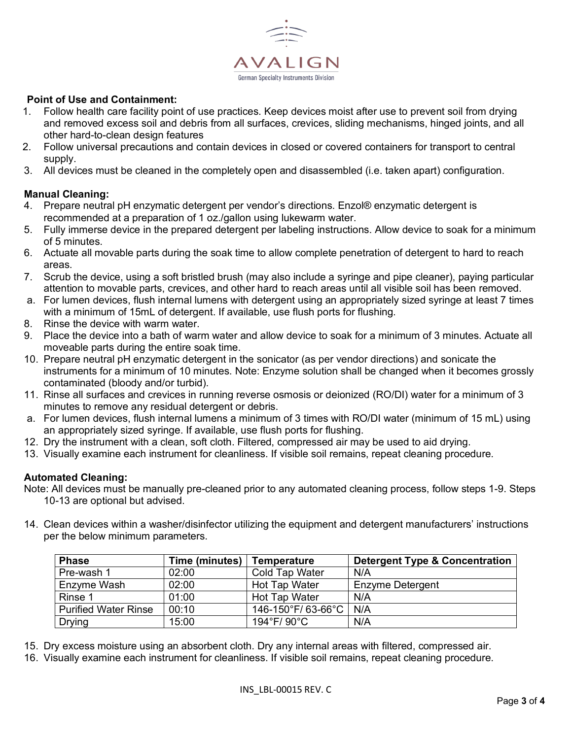

# **Point of Use and Containment:**

- 1. Follow health care facility point of use practices. Keep devices moist after use to prevent soil from drying and removed excess soil and debris from all surfaces, crevices, sliding mechanisms, hinged joints, and all other hard-to-clean design features
- 2. Follow universal precautions and contain devices in closed or covered containers for transport to central supply.
- 3. All devices must be cleaned in the completely open and disassembled (i.e. taken apart) configuration.

## **Manual Cleaning:**

- 4. Prepare neutral pH enzymatic detergent per vendor's directions. Enzol® enzymatic detergent is recommended at a preparation of 1 oz./gallon using lukewarm water.
- 5. Fully immerse device in the prepared detergent per labeling instructions. Allow device to soak for a minimum of 5 minutes.
- 6. Actuate all movable parts during the soak time to allow complete penetration of detergent to hard to reach areas.
- 7. Scrub the device, using a soft bristled brush (may also include a syringe and pipe cleaner), paying particular attention to movable parts, crevices, and other hard to reach areas until all visible soil has been removed.
- a. For lumen devices, flush internal lumens with detergent using an appropriately sized syringe at least 7 times with a minimum of 15mL of detergent. If available, use flush ports for flushing.
- 8. Rinse the device with warm water.
- 9. Place the device into a bath of warm water and allow device to soak for a minimum of 3 minutes. Actuate all moveable parts during the entire soak time.
- 10. Prepare neutral pH enzymatic detergent in the sonicator (as per vendor directions) and sonicate the instruments for a minimum of 10 minutes. Note: Enzyme solution shall be changed when it becomes grossly contaminated (bloody and/or turbid).
- 11. Rinse all surfaces and crevices in running reverse osmosis or deionized (RO/DI) water for a minimum of 3 minutes to remove any residual detergent or debris.
- a. For lumen devices, flush internal lumens a minimum of 3 times with RO/DI water (minimum of 15 mL) using an appropriately sized syringe. If available, use flush ports for flushing.
- 12. Dry the instrument with a clean, soft cloth. Filtered, compressed air may be used to aid drying.
- 13. Visually examine each instrument for cleanliness. If visible soil remains, repeat cleaning procedure.

# **Automated Cleaning:**

Note: All devices must be manually pre-cleaned prior to any automated cleaning process, follow steps 1-9. Steps 10-13 are optional but advised.

14. Clean devices within a washer/disinfector utilizing the equipment and detergent manufacturers' instructions per the below minimum parameters.

| <b>Phase</b>                | Time (minutes) | <b>Temperature</b>    | <b>Detergent Type &amp; Concentration</b> |
|-----------------------------|----------------|-----------------------|-------------------------------------------|
| Pre-wash 1                  | 02:00          | <b>Cold Tap Water</b> | N/A                                       |
| Enzyme Wash                 | 02:00          | <b>Hot Tap Water</b>  | Enzyme Detergent                          |
| Rinse 1                     | 01:00          | <b>Hot Tap Water</b>  | N/A                                       |
| <b>Purified Water Rinse</b> | 00:10          | 146-150°F/ 63-66°C    | N/A                                       |
| <b>Drying</b>               | 15:00          | 194°F/90°C            | N/A                                       |

- 15. Dry excess moisture using an absorbent cloth. Dry any internal areas with filtered, compressed air.
- 16. Visually examine each instrument for cleanliness. If visible soil remains, repeat cleaning procedure.